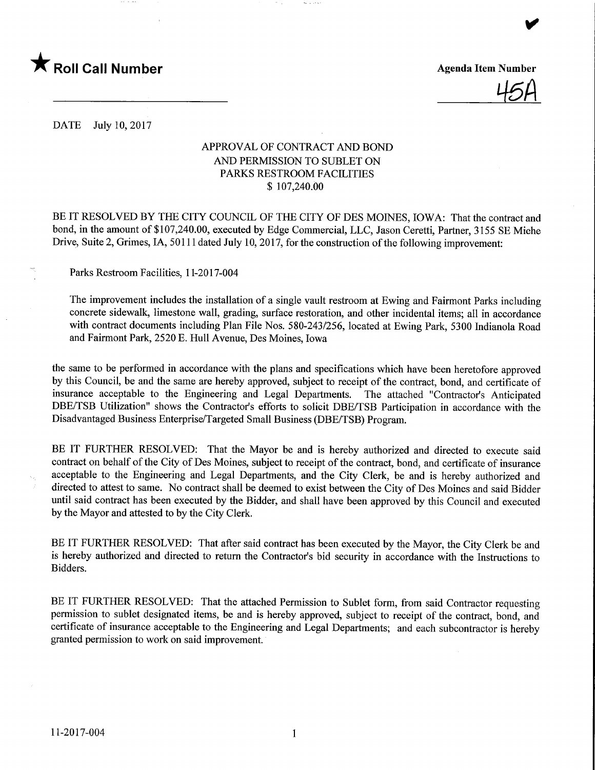

<u>45H</u>

DATE July 10, 2017

# APPROVAL OF CONTRACT AND BOND AND PERMISSION TO SUBLET ON PARKS RESTROOM FACILITIES \$ 107,240.00

BE IT RESOLVED BY THE CITY COUNCIL OF THE CITY OF DES MOINES, IOWA: That the contract and bond, in the amount of \$107,240.00, executed by Edge Commercial, LLC, Jason Ceretti, Partner, 3155 SE Miehe Drive, Suite 2, Grimes, IA, 50111 dated July 10, 2017, for the construction of the following improvement:

Parks Restroom Facilities, 11-2017-004

The improvement includes the installation of a single vault restroom at Ewing and Fairmont Parks including concrete sidewalk, limestone wall, grading, surface restoration, and other incidental items; all in accordance with contract documents including Plan File Nos. 580-243/256, located at Ewing Park, 5300 Indianola Road and Fairmont Park, 2520 E. Hull Avenue, Des Moines, Iowa

the same to be performed in accordance with the plans and specifications which have been heretofore approved by this Council, be and the same are hereby approved, subject to receipt of the contract, bond, and certificate of insurance acceptable to the Engineering and Legal Departments. The attached "Contractor's Anticipated DBE/TSB Utilization" shows the Contractor's efforts to solicit DBE/TSB Participation in accordance with the Disadvantaged Business Enterprise/Targeted Small Business (DBE/TSB) Program.

BE IT FURTHER RESOLVED: That the Mayor be and is hereby authorized and directed to execute said contract on behalf of the City of Des Moines, subject to receipt of the contract, bond, and certificate of insurance acceptable to the Engineering and Legal Departments, and the City Clerk, be and is hereby authorized and directed to attest to same. No contract shall be deemed to exist between the City of Des Moines and said Bidder until said contract has been executed by the Bidder, and shall have been approved by this Council and executed by the Mayor and attested to by the City Clerk.

BE IT FURTHER RESOLVED: That after said contract has been executed by the Mayor, the City Clerk be and is hereby authorized and directed to return the Contractor's bid security in accordance with the Instructions to Bidders.

BE IT FURTHER RESOLVED: That the attached Permission to Sublet form, from said Contractor requesting permission to sublet designated items, be and is hereby approved, subject to receipt of the contract, bond, and certificate of insurance acceptable to the Engineering and Legal Departments; and each subcontractor is hereby granted permission to work on said improvement.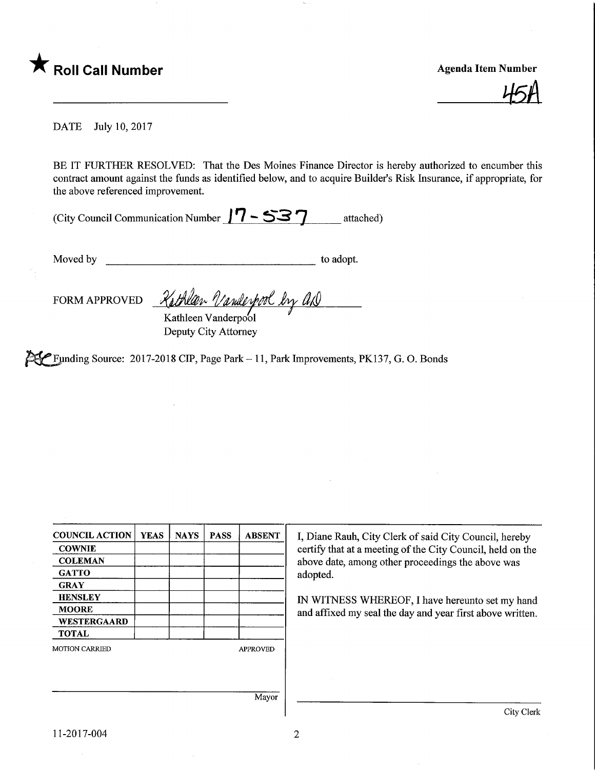

**Agenda Item Number** 

DATE July 10, 2017

BE IT FURTHER RESOLVED: That the Des Moines Finance Director is hereby authorized to encumber this contract amount against the funds as identified below, and to acquire Builder's Risk Insurance, if appropriate, for the above referenced improvement.

| (City Council Communication Number $/7 - 537$ | attached) |
|-----------------------------------------------|-----------|
|-----------------------------------------------|-----------|

Moved by to adopt.

FORM APPROVED Rathlan Vanderpool by an

Kathleen Vanderpool Deputy City Attorney

 $\mathbb{R}$  Funding Source: 2017-2018 CIP, Page Park - 11, Park Improvements, PK137, G. O. Bonds

| <b>COUNCIL ACTION</b> | <b>YEAS</b> | <b>NAYS</b> | <b>PASS</b> | <b>ABSENT</b>   | I, Diane Rauh, City Clerk of said City Council, hereby     |
|-----------------------|-------------|-------------|-------------|-----------------|------------------------------------------------------------|
| <b>COWNIE</b>         |             |             |             |                 | certify that at a meeting of the City Council, held on the |
| <b>COLEMAN</b>        |             |             |             |                 | above date, among other proceedings the above was          |
| <b>GATTO</b>          |             |             |             |                 | adopted.                                                   |
| <b>GRAY</b>           |             |             |             |                 |                                                            |
| <b>HENSLEY</b>        |             |             |             |                 | IN WITNESS WHEREOF, I have hereunto set my hand            |
| <b>MOORE</b>          |             |             |             |                 | and affixed my seal the day and year first above written.  |
| <b>WESTERGAARD</b>    |             |             |             |                 |                                                            |
| <b>TOTAL</b>          |             |             |             |                 |                                                            |
| <b>MOTION CARRIED</b> |             |             |             | <b>APPROVED</b> |                                                            |
|                       |             |             |             |                 |                                                            |
|                       |             |             |             |                 |                                                            |
|                       |             |             |             |                 |                                                            |
|                       |             |             |             | Mayor           |                                                            |
|                       |             |             |             |                 | City Clerl                                                 |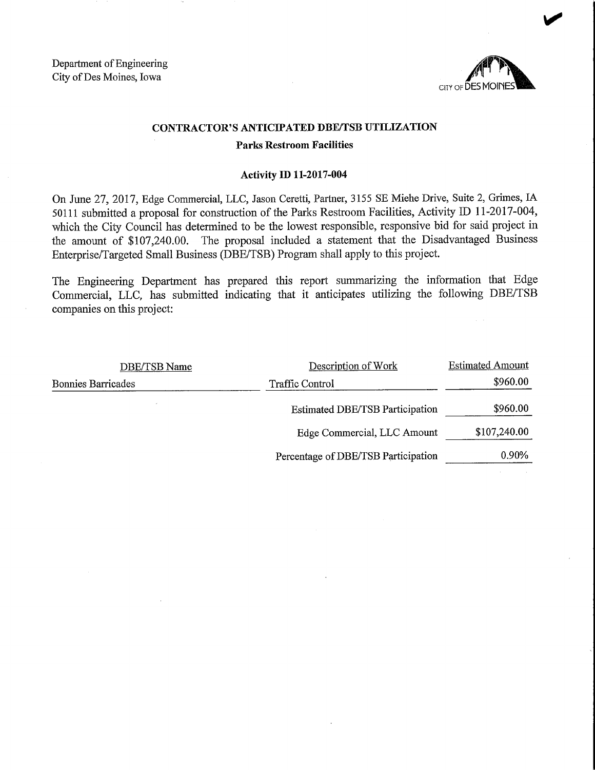Department of Engineering City of Des Moines, Iowa



## CONTRACTOR'S ANTICIPATED DBE/TSB UTILIZATION

#### Parks Restroom Facilities

#### Activity D) 11-2017-004

On June 27, 2017, Edge Commercial, LLC, Jason Ceretti, Partner, 3155 SE Miehe Drive, Suite 2, Grimes, IA 50111 submitted a proposal for construction of the Parks Restroom Facilities, Activity ID 11-2017-004, which the City Council has determined to be the lowest responsible, responsive bid for said project in the amount of \$107,240.00. The proposal included a statement that the Disadvantaged Business Enterprise/Targeted Small Business (DBE/TSB) Program shall apply to this project.

The Engineering Department has prepared this report summarizing the information that Edge Commercial, LLC, has submitted indicating that it anticipates utilizing the following DBE/TSB companies on this project:

| <b>DBE/TSB Name</b>       | Description of Work                 | <b>Estimated Amount</b> |
|---------------------------|-------------------------------------|-------------------------|
| <b>Bonnies Barricades</b> | <b>Traffic Control</b>              | \$960.00                |
|                           | Estimated DBE/TSB Participation     | \$960.00                |
|                           | Edge Commercial, LLC Amount         | \$107,240.00            |
|                           | Percentage of DBE/TSB Participation | 0.90%                   |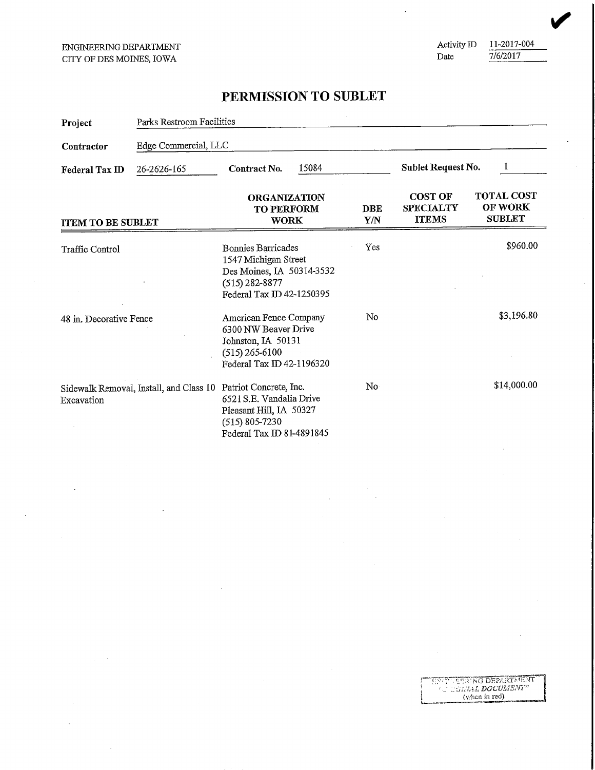"*HNCL"* "PURING DEPARTMENT  $\left\{\n \begin{array}{c}\n \text{which both}}\n \text{for all }n\in\mathbb{N}.\n \end{array}\n \right.$ 

Activity ID 11-2017-004<br>Date  $\frac{7}{6/2017}$ 7/6/2017

# PERMISSION TO SUBLET

| Project                       | Parks Restroom Facilities               |                                                                                                                                   |                          |                                                    |                                                      |  |
|-------------------------------|-----------------------------------------|-----------------------------------------------------------------------------------------------------------------------------------|--------------------------|----------------------------------------------------|------------------------------------------------------|--|
| Contractor                    | Edge Commercial, LLC                    |                                                                                                                                   |                          |                                                    |                                                      |  |
| 26-2626-165<br>Federal Tax ID |                                         | 15084<br>Contract No.                                                                                                             |                          | Sublet Request No.<br>1                            |                                                      |  |
| <b>ITEM TO BE SUBLET</b>      |                                         | <b>ORGANIZATION</b><br><b>TO PERFORM</b><br><b>WORK</b>                                                                           | <b>DBE</b><br><b>Y/N</b> | <b>COST OF</b><br><b>SPECIALTY</b><br><b>ITEMS</b> | <b>TOTAL COST</b><br><b>OF WORK</b><br><b>SUBLET</b> |  |
| Traffic Control               |                                         | <b>Bonnies Barricades</b><br>1547 Michigan Street<br>Des Moines, IA 50314-3532<br>$(515) 282 - 8877$<br>Federal Tax ID 42-1250395 | Yes                      |                                                    | \$960.00                                             |  |
| 48 in. Decorative Fence       |                                         | American Fence Company<br>6300 NW Beaver Drive<br>Johnston, IA 50131<br>$(515)$ 265-6100<br>Federal Tax ID 42-1196320             | No                       |                                                    | \$3,196.80                                           |  |
| Excavation                    | Sidewalk Removal, Install, and Class 10 | Patriot Concrete, Inc.<br>6521 S.E. Vandalia Drive<br>Pleasant Hill, IA 50327<br>$(515)$ 805-7230<br>Federal Tax ID 81-4891845    | No.                      |                                                    | \$14,000.00                                          |  |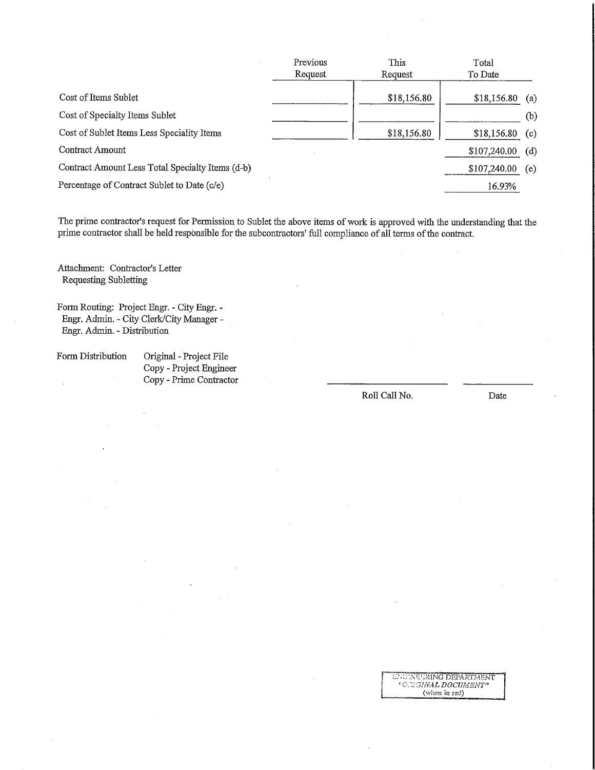|                                                  | Previous | This        | Total        |     |
|--------------------------------------------------|----------|-------------|--------------|-----|
|                                                  | Request  | Request     | To Date      |     |
| Cost of Items Sublet                             |          | \$18,156.80 | \$18,156.80  | (a) |
| Cost of Specialty Items Sublet                   |          |             |              | (b) |
| Cost of Sublet Items Less Speciality Items       |          | \$18,156.80 | \$18,156.80  | (c) |
| Contract Amount                                  |          |             | \$107,240.00 | (d) |
| Contract Amount Less Total Specialty Items (d-b) |          |             | \$107,240.00 | (e) |
| Percentage of Contract Sublet to Date (c/e)      |          |             | 16.93%       |     |

The prime contractor's request for Permission to Sublet the above items of work is approved with the understanding that the prime contractor shall be held responsible for the subcontractors' full compliance of all terms of the contract.

Attachment: Contractor's Letter Requesting Subletting

Fonn Routing: Project Engr. - City Engr. - Engr. Admin. - City Clerk/City Manager -Engr. Admin. - Distribution

## Form Distribution Original - Project File Copy - Project Engineer

Copy - Prime Contractor

Roll Call No. Date

INGINEURING DEPARTMENT "O."L'SINAL DOCUMENT" (w!ien in red)